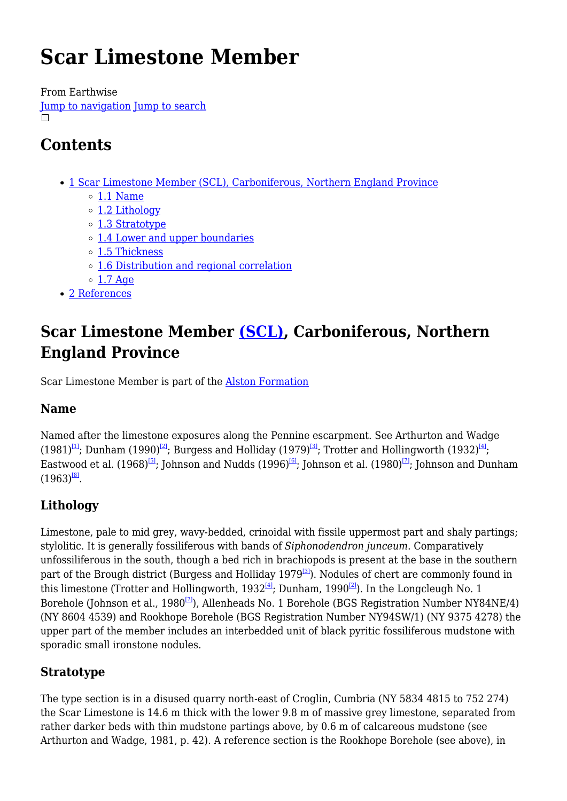# **Scar Limestone Member**

From Earthwise [Jump to navigation](#page--1-0) [Jump to search](#page--1-0)  $\Box$ 

# **Contents**

- [1](#Scar_Limestone_Member_.28SCL.29.2C_Carboniferous.2C_Northern_England_Province) [Scar Limestone Member \(SCL\), Carboniferous, Northern England Province](#Scar_Limestone_Member_.28SCL.29.2C_Carboniferous.2C_Northern_England_Province)
	- $\circ$  [1.1](#page--1-0) [Name](#page--1-0)
	- o [1.2](#page--1-0) [Lithology](#page--1-0)
	- [1.3](#page--1-0) [Stratotype](#page--1-0)
	- [1.4](#page--1-0) [Lower and upper boundaries](#page--1-0)
	- o [1.5](#page--1-0) [Thickness](#page--1-0)
	- [1.6](#page--1-0) [Distribution and regional correlation](#page--1-0)
	- $\circ$  [1.7](#page--1-0) [Age](#page--1-0)
- [2](#page--1-0) [References](#page--1-0)

## **Scar Limestone Member [\(SCL\)](http://www.bgs.ac.uk/lexicon/lexicon.cfm?pub=SCL), Carboniferous, Northern England Province**

Scar Limestone Member is part of the [Alston Formation](http://earthwise.bgs.ac.uk/index.php/Alston_Formation)

### **Name**

Named after the limestone exposures along the Pennine escarpment. See Arthurton and Wadge  $(1981)^{[11]}$ ; Dunham  $(1990)^{[21]}$ ; Burgess and Holliday  $(1979)^{[31]}$ ; Trotter and Hollingworth  $(1932)^{[41]}$ ; Eastwood et al. (1968)<sup>[\[5\]](#page--1-0)</sup>; Johnson and Nudds (1996)<sup>[\[6\]](#page--1-0)</sup>; Johnson et al. (1980)<sup>[\[7\]](#page--1-0)</sup>; Johnson and Dunham  $(1963)^{181}$ .

### **Lithology**

Limestone, pale to mid grey, wavy-bedded, crinoidal with fissile uppermost part and shaly partings; stylolitic. It is generally fossiliferous with bands of *Siphonodendron junceum*. Comparatively unfossiliferous in the south, though a bed rich in brachiopods is present at the base in the southern part of the Brough district (Burgess and Holliday 1979<sup>[\[3\]](#page--1-0)</sup>). Nodules of chert are commonly found in this limestone (Trotter and Hollingworth,  $1932^{[4]}$  $1932^{[4]}$  $1932^{[4]}$ ; Dunham,  $1990^{[2]}$  $1990^{[2]}$  $1990^{[2]}$ ). In the Longcleugh No. 1 Borehole (Johnson et al., 1980 $\overline{2}$ ), Allenheads No. 1 Borehole (BGS Registration Number NY84NE/4) (NY 8604 4539) and Rookhope Borehole (BGS Registration Number NY94SW/1) (NY 9375 4278) the upper part of the member includes an interbedded unit of black pyritic fossiliferous mudstone with sporadic small ironstone nodules.

### **Stratotype**

The type section is in a disused quarry north-east of Croglin, Cumbria (NY 5834 4815 to 752 274) the Scar Limestone is 14.6 m thick with the lower 9.8 m of massive grey limestone, separated from rather darker beds with thin mudstone partings above, by 0.6 m of calcareous mudstone (see Arthurton and Wadge, 1981, p. 42). A reference section is the Rookhope Borehole (see above), in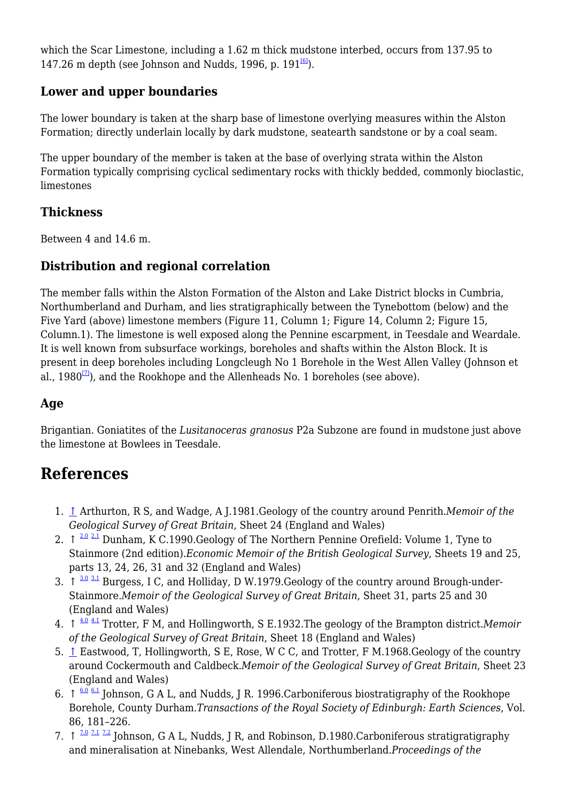which the Scar Limestone, including a 1.62 m thick mudstone interbed, occurs from 137.95 to 147.26 m depth (see Johnson and Nudds, 1996, p.  $191^{6}$ ).

### **Lower and upper boundaries**

The lower boundary is taken at the sharp base of limestone overlying measures within the Alston Formation; directly underlain locally by dark mudstone, seatearth sandstone or by a coal seam.

The upper boundary of the member is taken at the base of overlying strata within the Alston Formation typically comprising cyclical sedimentary rocks with thickly bedded, commonly bioclastic, limestones

### **Thickness**

Between 4 and 14.6 m.

### **Distribution and regional correlation**

The member falls within the Alston Formation of the Alston and Lake District blocks in Cumbria, Northumberland and Durham, and lies stratigraphically between the Tynebottom (below) and the Five Yard (above) limestone members (Figure 11, Column 1; Figure 14, Column 2; Figure 15, Column.1). The limestone is well exposed along the Pennine escarpment, in Teesdale and Weardale. It is well known from subsurface workings, boreholes and shafts within the Alston Block. It is present in deep boreholes including Longcleugh No 1 Borehole in the West Allen Valley (Johnson et al., 1980 $\overline{2}$ ), and the Rookhope and the Allenheads No. 1 boreholes (see above).

### **Age**

Brigantian. Goniatites of the *Lusitanoceras granosus* P2a Subzone are found in mudstone just above the limestone at Bowlees in Teesdale.

### **References**

- 1. [↑](#page--1-0) Arthurton, R S, and Wadge, A J.1981.Geology of the country around Penrith.*Memoir of the Geological Survey of Great Britain*, Sheet 24 (England and Wales)
- 2.  $\uparrow$   $\frac{2.0 \text{ } 2.1 \text{}}{2.1 \text{ } 2.1 \text{}}$  $\frac{2.0 \text{ } 2.1 \text{}}{2.1 \text{ } 2.1 \text{}}$  $\frac{2.0 \text{ } 2.1 \text{}}{2.1 \text{ } 2.1 \text{}}$  $\frac{2.0 \text{ } 2.1 \text{}}{2.1 \text{ } 2.1 \text{}}$  $\frac{2.0 \text{ } 2.1 \text{}}{2.1 \text{ } 2.1 \text{}}$  Dunham, K C.1990.Geology of The Northern Pennine Orefield: Volume 1, Tyne to Stainmore (2nd edition).*Economic Memoir of the British Geological Survey*, Sheets 19 and 25, parts 13, 24, 26, 31 and 32 (England and Wales)
- 3.  $\uparrow$   $\frac{3.0 \text{ } 3.1 \text{ }}{3.1 \text{ } B}$  $\frac{3.0 \text{ } 3.1 \text{ }}{3.1 \text{ } B}$  $\frac{3.0 \text{ } 3.1 \text{ }}{3.1 \text{ } B}$  $\frac{3.0 \text{ } 3.1 \text{ }}{3.1 \text{ } B}$  $\frac{3.0 \text{ } 3.1 \text{ }}{3.1 \text{ } B}$  Burgess, I C, and Holliday, D W.1979.Geology of the country around Brough-under-Stainmore.*Memoir of the Geological Survey of Great Britain*, Sheet 31, parts 25 and 30 (England and Wales)
- ↑ [4.0](#page--1-0) [4.1](#page--1-0) 4. Trotter, F M, and Hollingworth, S E.1932.The geology of the Brampton district.*Memoir of the Geological Survey of Great Britain*, Sheet 18 (England and Wales)
- 5. [↑](#page--1-0) Eastwood, T, Hollingworth, S E, Rose, W C C, and Trotter, F M.1968.Geology of the country around Cockermouth and Caldbeck.*Memoir of the Geological Survey of Great Britain*, Sheet 23 (England and Wales)
- 6.  $\uparrow$  [6.0](#page--1-0) [6.1](#page--1-0) Johnson, G A L, and Nudds, J R. 1996. Carboniferous biostratigraphy of the Rookhope Borehole, County Durham.*Transactions of the Royal Society of Edinburgh: Earth Sciences*, Vol. 86, 181–226.
- 7.  $\uparrow$  <sup>[7.0](#page--1-0) [7.1](#page--1-0) [7.2](#page--1-0)</sup> Johnson, G A L, Nudds, J R, and Robinson, D.1980.Carboniferous stratigratigraphy and mineralisation at Ninebanks, West Allendale, Northumberland.*Proceedings of the*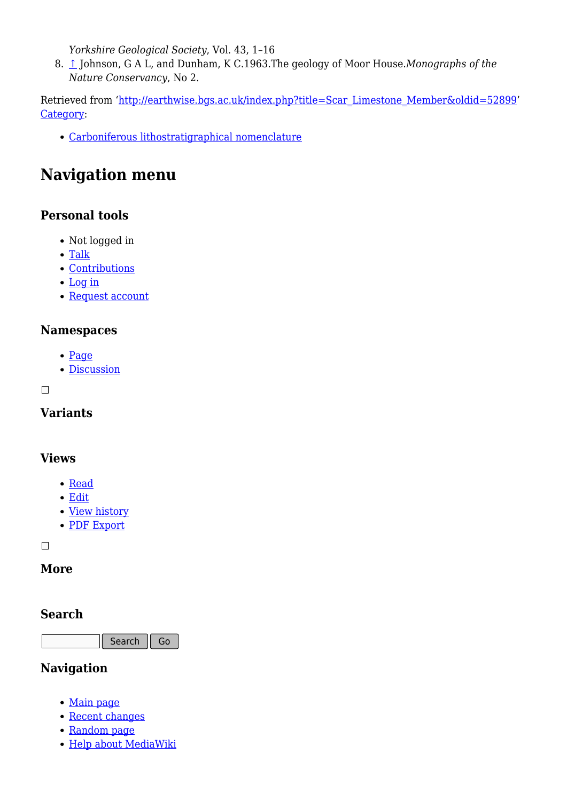*Yorkshire Geological Society*, Vol. 43, 1–16

8. [↑](#page--1-0) Johnson, G A L, and Dunham, K C.1963.The geology of Moor House.*Monographs of the Nature Conservancy*, No 2.

Retrieved from ['http://earthwise.bgs.ac.uk/index.php?title=Scar\\_Limestone\\_Member&oldid=52899'](http://earthwise.bgs.ac.uk/index.php?title=Scar_Limestone_Member&oldid=52899) [Category](http://earthwise.bgs.ac.uk/index.php/Special:Categories):

[Carboniferous lithostratigraphical nomenclature](http://earthwise.bgs.ac.uk/index.php/Category:Carboniferous_lithostratigraphical_nomenclature)

## **Navigation menu**

### **Personal tools**

- Not logged in
- [Talk](http://earthwise.bgs.ac.uk/index.php/Special:MyTalk)
- [Contributions](http://earthwise.bgs.ac.uk/index.php/Special:MyContributions)
- [Log in](http://earthwise.bgs.ac.uk/index.php?title=Special:UserLogin&returnto=Scar+Limestone+Member&returntoquery=action%3Dmpdf)
- [Request account](http://earthwise.bgs.ac.uk/index.php/Special:RequestAccount)

### **Namespaces**

- [Page](http://earthwise.bgs.ac.uk/index.php/Scar_Limestone_Member)
- [Discussion](http://earthwise.bgs.ac.uk/index.php?title=Talk:Scar_Limestone_Member&action=edit&redlink=1)

 $\Box$ 

### **Variants**

#### **Views**

- [Read](http://earthwise.bgs.ac.uk/index.php/Scar_Limestone_Member)
- [Edit](http://earthwise.bgs.ac.uk/index.php?title=Scar_Limestone_Member&action=edit)
- [View history](http://earthwise.bgs.ac.uk/index.php?title=Scar_Limestone_Member&action=history)
- [PDF Export](http://earthwise.bgs.ac.uk/index.php?title=Scar_Limestone_Member&action=mpdf)

 $\Box$ 

### **More**

#### **Search**

Search Go

### **Navigation**

- [Main page](http://earthwise.bgs.ac.uk/index.php/Main_Page)
- [Recent changes](http://earthwise.bgs.ac.uk/index.php/Special:RecentChanges)
- [Random page](http://earthwise.bgs.ac.uk/index.php/Special:Random)
- [Help about MediaWiki](https://www.mediawiki.org/wiki/Special:MyLanguage/Help:Contents)